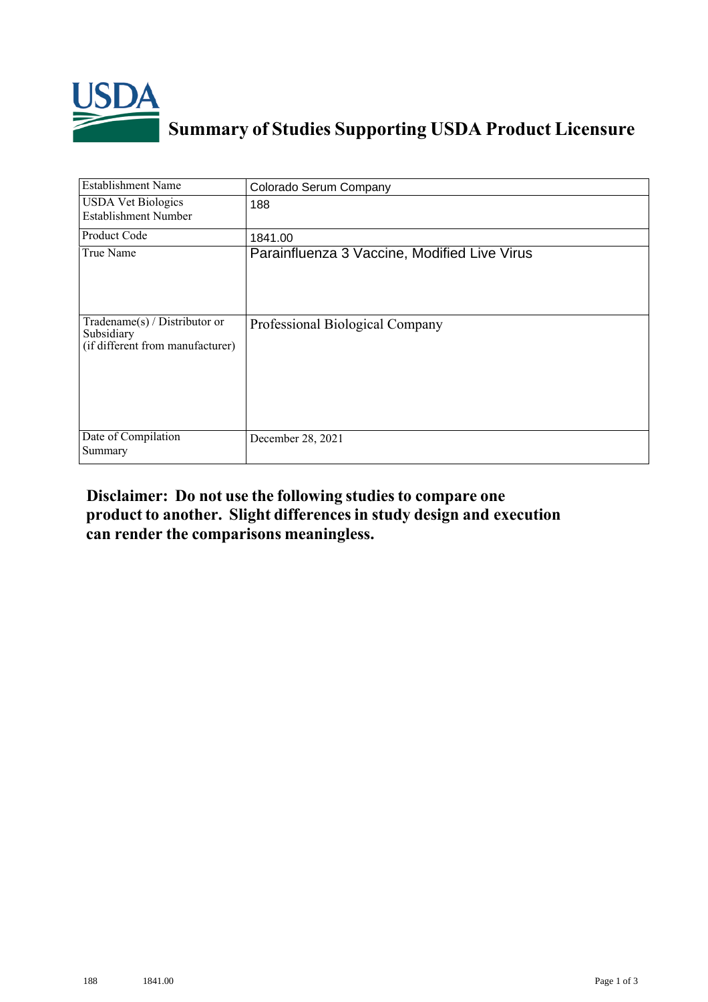

## **Summary of Studies Supporting USDA Product Licensure**

| <b>Establishment Name</b>                                                         | Colorado Serum Company                       |
|-----------------------------------------------------------------------------------|----------------------------------------------|
| <b>USDA Vet Biologics</b><br><b>Establishment Number</b>                          | 188                                          |
| Product Code                                                                      | 1841.00                                      |
| True Name                                                                         | Parainfluenza 3 Vaccine, Modified Live Virus |
| $Tradename(s) / Distributor$ or<br>Subsidiary<br>(if different from manufacturer) | Professional Biological Company              |
| Date of Compilation<br>Summary                                                    | December 28, 2021                            |

## **Disclaimer: Do not use the following studiesto compare one product to another. Slight differencesin study design and execution can render the comparisons meaningless.**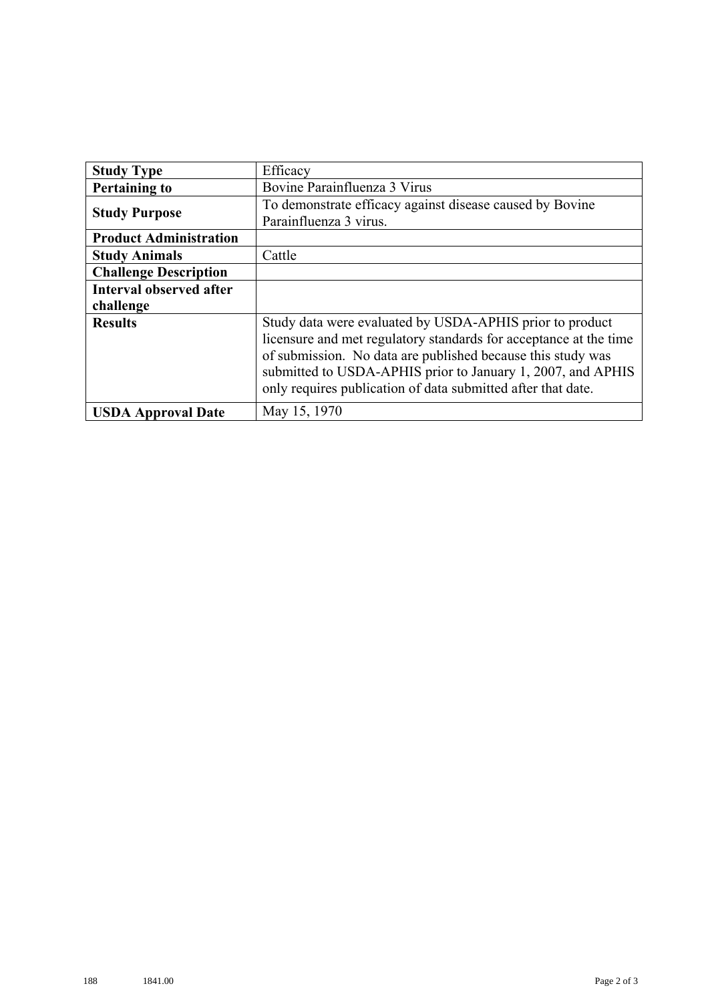| <b>Study Type</b>              | Efficacy                                                          |
|--------------------------------|-------------------------------------------------------------------|
| <b>Pertaining to</b>           | Bovine Parainfluenza 3 Virus                                      |
| <b>Study Purpose</b>           | To demonstrate efficacy against disease caused by Bovine          |
|                                | Parainfluenza 3 virus.                                            |
| <b>Product Administration</b>  |                                                                   |
| <b>Study Animals</b>           | Cattle                                                            |
| <b>Challenge Description</b>   |                                                                   |
| <b>Interval observed after</b> |                                                                   |
| challenge                      |                                                                   |
| <b>Results</b>                 | Study data were evaluated by USDA-APHIS prior to product          |
|                                | licensure and met regulatory standards for acceptance at the time |
|                                | of submission. No data are published because this study was       |
|                                | submitted to USDA-APHIS prior to January 1, 2007, and APHIS       |
|                                | only requires publication of data submitted after that date.      |
| <b>USDA Approval Date</b>      | May 15, 1970                                                      |